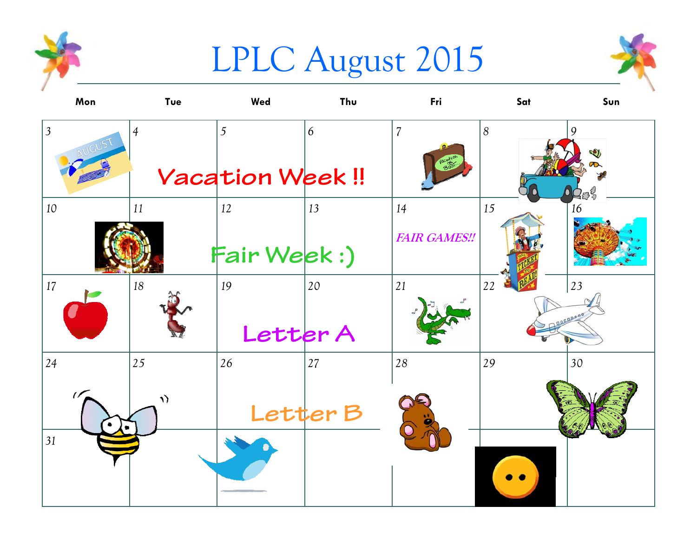

## LPLC August 2015